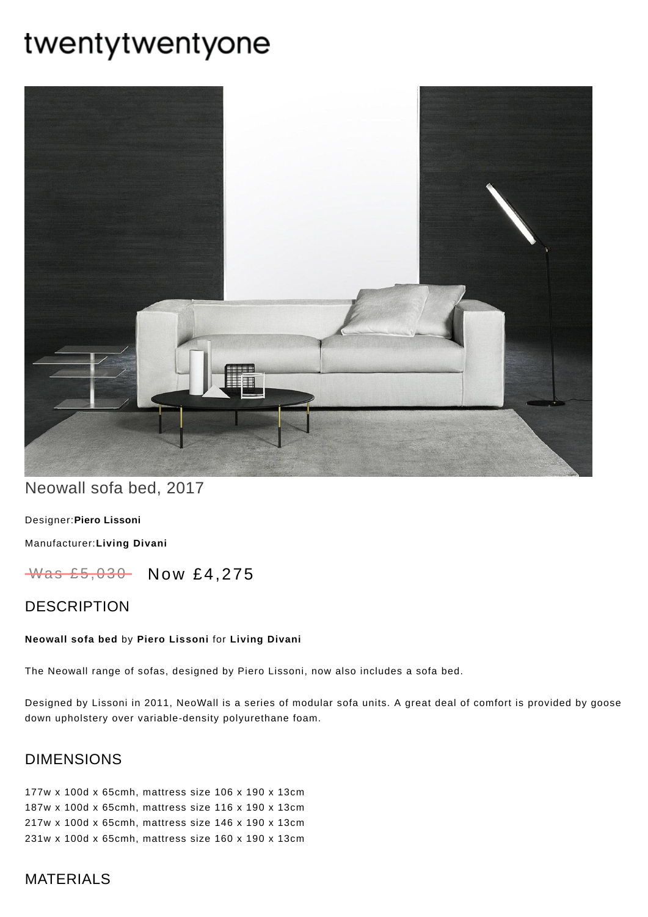# twentytwentyone



# Neowall sofa bed, 2017

[Designer:](https://www.twentytwentyone.com/collections/designers-piero-lissoni)**Piero Lissoni**

[Manufacturer:](https://www.twentytwentyone.com/collections/manufacturers-living-divani)**Living Divani**

Was £5,030 Now £4,275

## **DESCRIPTION**

#### **Neowall sofa bed** by **Piero [Lissoni](http://twentytwentyone.com/designer/piero-lissoni)** for **Living [Divani](http://twentytwentyone.com/manufacturer/living-divani)**

The Neowall range of sofas, designed by Piero Lissoni, now also includes a sofa bed.

Designed by Lissoni in 2011, NeoWall is a series of modular sofa units. A great deal of comfort is provided by goose down upholstery over variable-density polyurethane foam.

## DIMENSIONS

177w x 100d x 65cmh, mattress size 106 x 190 x 13cm 187w x 100d x 65cmh, mattress size 116 x 190 x 13cm 217w x 100d x 65cmh, mattress size 146 x 190 x 13cm 231w x 100d x 65cmh, mattress size 160 x 190 x 13cm

## MATERIALS